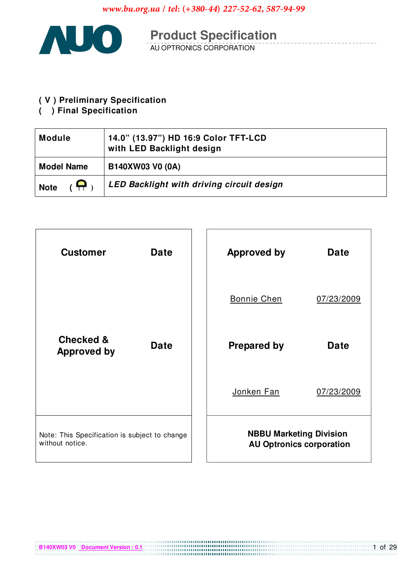

**Product Specification**<br>AU OPTRONICS CORPORATION

## (V) Preliminary Specification

( ) Final Specification

| <b>Module</b>                 | 14.0" (13.97") HD 16:9 Color TFT-LCD<br>with LED Backlight design |
|-------------------------------|-------------------------------------------------------------------|
| <b>Model Name</b>             | B140XW03 V0 (0A)                                                  |
| $\overline{G}$<br><b>Note</b> | <b>LED Backlight with driving circuit design</b>                  |

| <b>Customer</b>                                                  | <b>Date</b> |  | <b>Approved by</b>                                                | <b>Date</b> |
|------------------------------------------------------------------|-------------|--|-------------------------------------------------------------------|-------------|
|                                                                  |             |  | <b>Bonnie Chen</b>                                                | 07/23/2009  |
| <b>Checked &amp;</b><br><b>Approved by</b>                       | <b>Date</b> |  | <b>Prepared by</b>                                                | <b>Date</b> |
|                                                                  |             |  | Jonken Fan                                                        | 07/23/2009  |
| Note: This Specification is subject to change<br>without notice. |             |  | <b>NBBU Marketing Division</b><br><b>AU Optronics corporation</b> |             |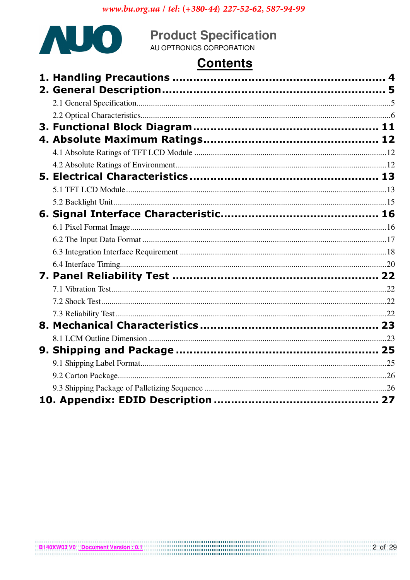

# **Product Specification**<br>AU OPTRONICS CORPORATION

## **Contents**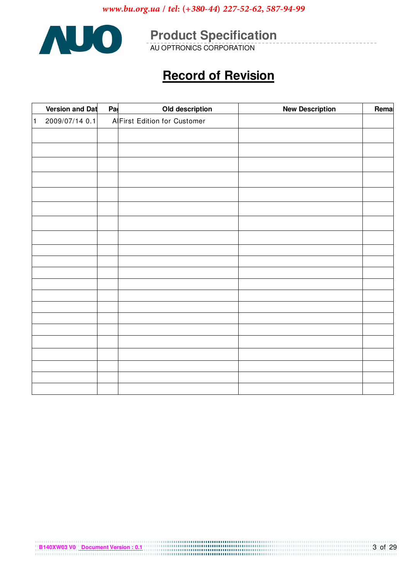

**Product Specification** 

## **Record of Revision**

|                | <b>Version and Dat</b> | Pa | Old description              | <b>New Description</b> | Remal |
|----------------|------------------------|----|------------------------------|------------------------|-------|
| $\overline{1}$ | 2009/07/14 0.1         |    | A First Edition for Customer |                        |       |
|                |                        |    |                              |                        |       |
|                |                        |    |                              |                        |       |
|                |                        |    |                              |                        |       |
|                |                        |    |                              |                        |       |
|                |                        |    |                              |                        |       |
|                |                        |    |                              |                        |       |
|                |                        |    |                              |                        |       |
|                |                        |    |                              |                        |       |
|                |                        |    |                              |                        |       |
|                |                        |    |                              |                        |       |
|                |                        |    |                              |                        |       |
|                |                        |    |                              |                        |       |
|                |                        |    |                              |                        |       |
|                |                        |    |                              |                        |       |
|                |                        |    |                              |                        |       |
|                |                        |    |                              |                        |       |
|                |                        |    |                              |                        |       |
|                |                        |    |                              |                        |       |
|                |                        |    |                              |                        |       |
|                |                        |    |                              |                        |       |
|                |                        |    |                              |                        |       |
|                |                        |    |                              |                        |       |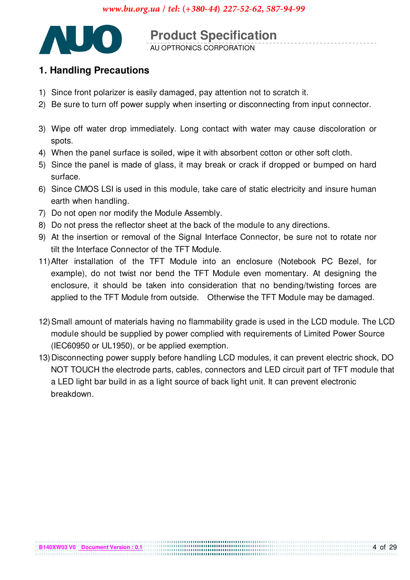

**Product Specification** AU OPTRONICS CORPORATION

## 1. Handling Precautions

- 1) Since front polarizer is easily damaged, pay attention not to scratch it.
- 2) Be sure to turn off power supply when inserting or disconnecting from input connector.
- 3) Wipe off water drop immediately. Long contact with water may cause discoloration or spots.
- 4) When the panel surface is soiled, wipe it with absorbent cotton or other soft cloth.
- 5) Since the panel is made of glass, it may break or crack if dropped or bumped on hard surface.
- 6) Since CMOS LSI is used in this module, take care of static electricity and insure human earth when handling.
- 7) Do not open nor modify the Module Assembly.
- 8) Do not press the reflector sheet at the back of the module to any directions.
- 9) At the insertion or removal of the Signal Interface Connector, be sure not to rotate nor tilt the Interface Connector of the TFT Module.
- 11) After installation of the TFT Module into an enclosure (Notebook PC Bezel, for example), do not twist nor bend the TFT Module even momentary. At designing the enclosure, it should be taken into consideration that no bending/twisting forces are applied to the TFT Module from outside. Otherwise the TFT Module may be damaged.
- 12) Small amount of materials having no flammability grade is used in the LCD module. The LCD module should be supplied by power complied with requirements of Limited Power Source (IEC60950 or UL1950), or be applied exemption.
- 13) Disconnecting power supply before handling LCD modules, it can prevent electric shock, DO NOT TOUCH the electrode parts, cables, connectors and LED circuit part of TFT module that a LED light bar build in as a light source of back light unit. It can prevent electronic breakdown.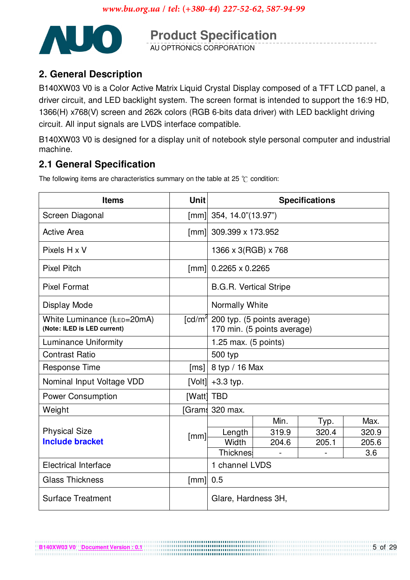

**Product Specification** 

## 2. General Description

B140XW03 V0 is a Color Active Matrix Liquid Crystal Display composed of a TFT LCD panel, a driver circuit, and LED backlight system. The screen format is intended to support the 16:9 HD, 1366(H) x768(V) screen and 262k colors (RGB 6-bits data driver) with LED backlight driving circuit. All input signals are LVDS interface compatible.

B140XW03 V0 is designed for a display unit of notebook style personal computer and industrial machine.

## **2.1 General Specification**

The following items are characteristics summary on the table at 25  $\degree$ C condition:

| <b>Items</b>                                               | <b>Unit</b>        | <b>Specifications</b>                                                         |       |       |       |  |
|------------------------------------------------------------|--------------------|-------------------------------------------------------------------------------|-------|-------|-------|--|
| Screen Diagonal                                            | [mm]               | 354, 14.0"(13.97")                                                            |       |       |       |  |
| <b>Active Area</b>                                         | [mm]               | 309.399 x 173.952                                                             |       |       |       |  |
| Pixels H x V                                               |                    | 1366 x 3(RGB) x 768                                                           |       |       |       |  |
| <b>Pixel Pitch</b>                                         | [mm]               | $0.2265 \times 0.2265$                                                        |       |       |       |  |
| <b>Pixel Format</b>                                        |                    | <b>B.G.R. Vertical Stripe</b>                                                 |       |       |       |  |
| Display Mode                                               |                    | Normally White                                                                |       |       |       |  |
| White Luminance (ILED=20mA)<br>(Note: ILED is LED current) |                    | [cd/m <sup>2</sup> 200 typ. (5 points average)<br>170 min. (5 points average) |       |       |       |  |
| <b>Luminance Uniformity</b>                                |                    | 1.25 max. $(5 \text{ points})$                                                |       |       |       |  |
| <b>Contrast Ratio</b>                                      |                    | 500 typ                                                                       |       |       |       |  |
| <b>Response Time</b>                                       | [ms]               | 8 typ / 16 Max                                                                |       |       |       |  |
| Nominal Input Voltage VDD                                  | [Volt]             | $+3.3$ typ.                                                                   |       |       |       |  |
| <b>Power Consumption</b>                                   | [Watt] TBD         |                                                                               |       |       |       |  |
| Weight                                                     |                    | [Grams 320 max.                                                               |       |       |       |  |
|                                                            |                    |                                                                               | Min.  | Typ.  | Max.  |  |
| <b>Physical Size</b>                                       | [mm]               | Length                                                                        | 319.9 | 320.4 | 320.9 |  |
| <b>Include bracket</b>                                     |                    | Width                                                                         | 204.6 | 205.1 | 205.6 |  |
|                                                            |                    | <b>Thicknes</b><br>3.6                                                        |       |       |       |  |
| <b>Electrical Interface</b>                                |                    | 1 channel LVDS                                                                |       |       |       |  |
| <b>Glass Thickness</b>                                     | $\lceil mm \rceil$ | 0.5                                                                           |       |       |       |  |
| <b>Surface Treatment</b>                                   |                    | Glare, Hardness 3H,                                                           |       |       |       |  |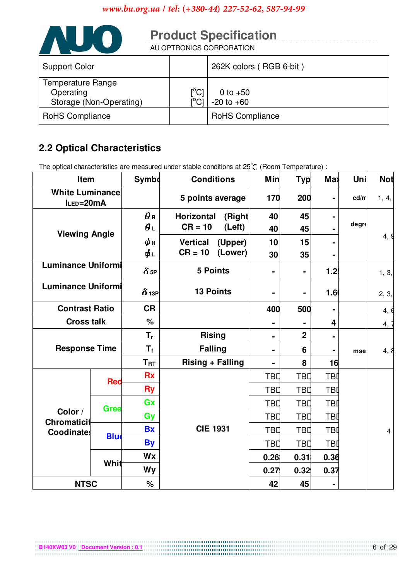

## **2.2 Optical Characteristics**

The optical characteristics are measured under stable conditions at  $25^{\circ}$ . (Room Temperature) :

| Item                                                    |             | <b>Symbo</b>            | <b>Conditions</b>            | Min            | <b>Typ</b>              | Max              | Uni   | <b>Not</b> |
|---------------------------------------------------------|-------------|-------------------------|------------------------------|----------------|-------------------------|------------------|-------|------------|
| <b>White Luminance</b><br>5 points average<br>ILED=20mA |             | 170                     | 200                          | $\blacksquare$ | cd/m                    | 1, 4,            |       |            |
| <b>Viewing Angle</b>                                    |             | $\boldsymbol{\theta}$ R | <b>Horizontal</b><br>(Right) | 40             | 45                      | ۰                |       |            |
|                                                         |             | $\theta_L$              | $CR = 10$<br>(Left)          | 40             | 45                      |                  | degre |            |
|                                                         |             | $\phi$ н                | <b>Vertical</b><br>(Upper)   | 10             | 15                      | -                |       | 4, 9       |
|                                                         |             | φι                      | (Lower)<br>$CR = 10$         | 30             | 35                      |                  |       |            |
| <b>Luminance Uniformi</b>                               |             | $\delta$ <sub>5P</sub>  | <b>5 Points</b>              | $\blacksquare$ | $\blacksquare$          | 1.2              |       | 1, 3,      |
| <b>Luminance Uniformi</b>                               |             | $\delta$ 13P            | <b>13 Points</b>             |                | $\blacksquare$          | 1.6 <sub>0</sub> |       | 2, 3,      |
| <b>Contrast Ratio</b>                                   |             | <b>CR</b>               |                              | 400            | 500                     | $\blacksquare$   |       | 4, 6       |
| $\frac{1}{2}$<br><b>Cross talk</b>                      |             |                         |                              |                | $\overline{\mathbf{4}}$ |                  | 4, 7  |            |
| <b>Response Time</b>                                    |             | $T_{r}$                 | <b>Rising</b>                | $\blacksquare$ | $\overline{2}$          | -                |       |            |
|                                                         |             | $T_{\rm f}$             | <b>Falling</b>               |                | $6\phantom{1}6$         |                  | mse   | 4,8        |
|                                                         |             | $T_{\rm RT}$            | <b>Rising + Falling</b>      | $\blacksquare$ | 8                       | 16               |       |            |
|                                                         | <b>Red</b>  | <b>Rx</b>               |                              | <b>TBD</b>     | <b>TBD</b>              | <b>TBI</b>       |       |            |
|                                                         |             | <b>Ry</b>               |                              | <b>TBD</b>     | <b>TBD</b>              | <b>TBI</b>       |       |            |
|                                                         | Gree        | Gx                      |                              | TBD            | <b>TBD</b>              | <b>TBI</b>       |       |            |
| Color /<br><b>Chromaticit</b>                           |             | Gy                      |                              | TBD            | <b>TBD</b>              | <b>TBI</b>       |       |            |
| <b>Coodinates</b>                                       |             | <b>Bx</b>               | <b>CIE 1931</b>              | TBD            | TBD                     | <b>TBI</b>       |       | 4          |
|                                                         | <b>Blue</b> | <b>By</b>               |                              | <b>TBD</b>     | TBD                     | <b>TBI</b>       |       |            |
|                                                         |             | Wx                      |                              | 0.26           | 0.31                    | 0.36             |       |            |
|                                                         | Whit        | Wy                      |                              | 0.275          | 0.32                    | 0.37             |       |            |
| <b>NTSC</b>                                             |             | %                       |                              | 42             | 45                      | ۰                |       |            |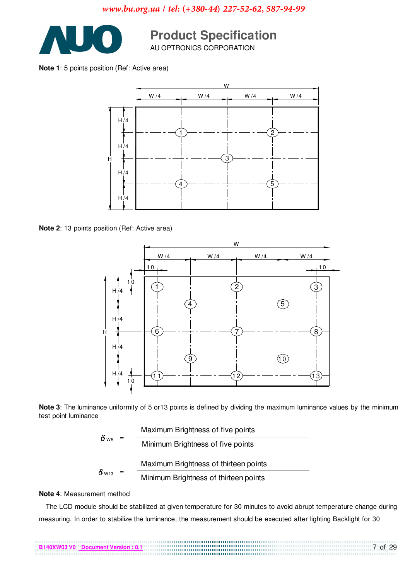

## **Product Specification**

Note 1: 5 points position (Ref: Active area)



Note 2: 13 points position (Ref: Active area)



Note 3: The luminance uniformity of 5 or 13 points is defined by dividing the maximum luminance values by the minimum test point luminance

$$
\delta_{\text{W5}} = \frac{\text{Maximum Brightness of five points}}{\text{Minimum Brightness of five points}}
$$
\n
$$
\delta_{\text{W13}} = \frac{\text{Maximum Brightness of thirteen points}}{\text{Minimum Brightness of thirteen points}}
$$

#### Note 4: Measurement method

The LCD module should be stabilized at given temperature for 30 minutes to avoid abrupt temperature change during measuring. In order to stabilize the luminance, the measurement should be executed after lighting Backlight for 30

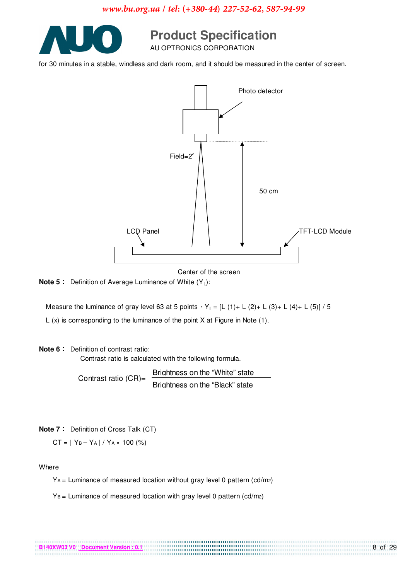

**Product Specification** 

for 30 minutes in a stable, windless and dark room, and it should be measured in the center of screen.



Center of the screen

**Note 5** : Definition of Average Luminance of White  $(Y_L)$ :

Measure the luminance of gray level 63 at 5 points  $Y_L = [L (1) + L (2) + L (3) + L (4) + L (5)] / 5$ 

L  $(x)$  is corresponding to the luminance of the point X at Figure in Note  $(1)$ .

#### Note 6: Definition of contrast ratio:

Contrast ratio is calculated with the following formula.

Brightness on the "White" state Contrast ratio (CR)= Brightness on the "Black" state

Note 7: Definition of Cross Talk (CT)

 $CT = |Y_B - Y_A| / Y_A \times 100$  (%)

Where

 $YA =$  Luminance of measured location without gray level 0 pattern (cd/m2)

 $Y_B$  = Luminance of measured location with gray level 0 pattern (cd/m2)

| B140XW03 V0 Document Version: 0 |  |
|---------------------------------|--|
|                                 |  |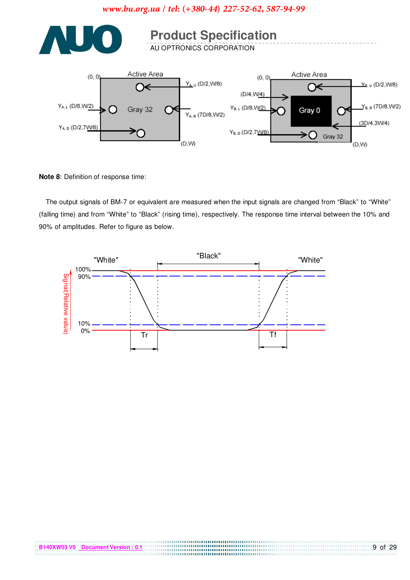

Note 8: Definition of response time:

The output signals of BM-7 or equivalent are measured when the input signals are changed from "Black" to "White" (falling time) and from "White" to "Black" (rising time), respectively. The response time interval between the 10% and 90% of amplitudes. Refer to figure as below.



00000000000000000000000000000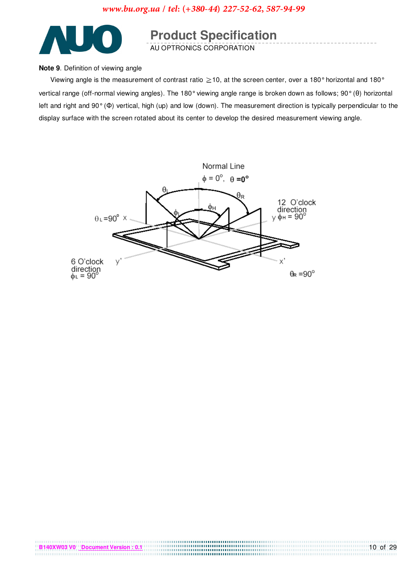

## **Product Specification**

#### Note 9. Definition of viewing angle

Viewing angle is the measurement of contrast ratio  $\geq$  10, at the screen center, over a 180° horizontal and 180° vertical range (off-normal viewing angles). The 180° viewing angle range is broken down as follows; 90° (0) horizontal left and right and  $90^\circ$  ( $\Phi$ ) vertical, high (up) and low (down). The measurement direction is typically perpendicular to the display surface with the screen rotated about its center to develop the desired measurement viewing angle.

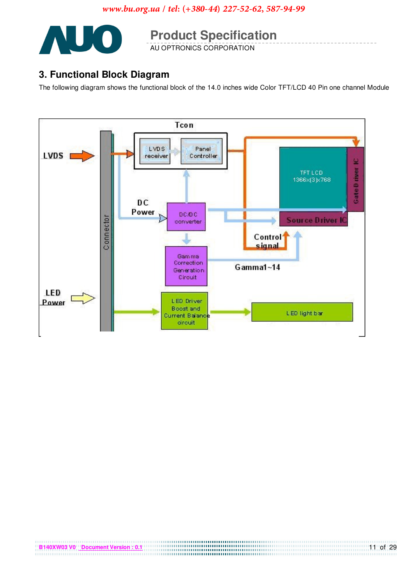

**Product Specification** 

## 3. Functional Block Diagram

The following diagram shows the functional block of the 14.0 inches wide Color TFT/LCD 40 Pin one channel Module

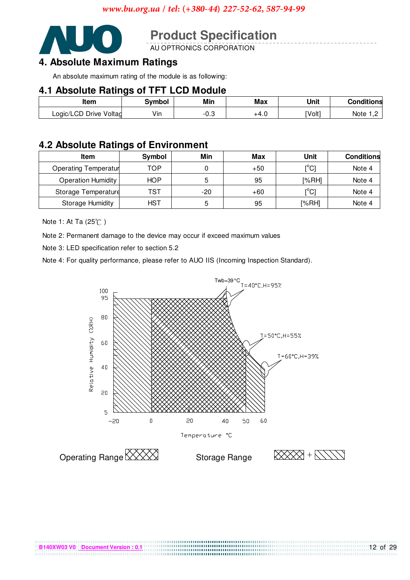

# **Product Specification**<br>AU OPTRONICS CORPORATION

## 4. Absolute Maximum Ratings

An absolute maximum rating of the module is as following:

### **4.1 Absolute Ratings of TFT LCD Module**

| ------------           |        |      |      |        |                   |  |  |  |
|------------------------|--------|------|------|--------|-------------------|--|--|--|
| ltem                   | Svmbol | Min  | Max  | Unit   | <b>Conditions</b> |  |  |  |
| Logic/LCD Drive Voltag | Vin    | ن.∪- | +4.0 | [Volt] | Note              |  |  |  |

### **4.2 Absolute Ratings of Environment**

| Item                         | Symbol     | Min   | <b>Max</b> | Unit                          | <b>Conditions</b> |
|------------------------------|------------|-------|------------|-------------------------------|-------------------|
| <b>Operating Temperature</b> | TOP        |       | $+50$      | [°C]                          | Note 4            |
| Operation Humidity           | <b>HOP</b> |       | 95         | [%RH]                         | Note 4            |
| Storage Temperature          | TST        | $-20$ | $+60$      | $\mathsf{I}^\circ\mathsf{Cl}$ | Note 4            |
| <b>Storage Humidity</b>      | <b>HST</b> |       | 95         | [%RH]                         | Note 4            |

Note 1: At Ta (25℃)

Note 2: Permanent damage to the device may occur if exceed maximum values

Note 3: LED specification refer to section 5.2

Note 4: For quality performance, please refer to AUO IIS (Incoming Inspection Standard).



1000000000000000000000000000000000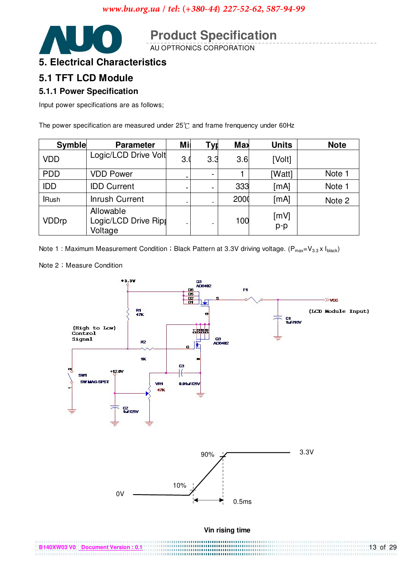

**Product Specification** 

## **5. Electrical Characteristics**

#### 5.1 TFT LCD Module

#### 5.1.1 Power Specification

Input power specifications are as follows;

The power specification are measured under  $25^{\circ}$ C and frame frenquency under 60Hz

| <b>Symble</b> | <b>Parameter</b>                             | Mil | <b>Tyr</b>               | <b>Max</b> | <b>Units</b>  | <b>Note</b> |
|---------------|----------------------------------------------|-----|--------------------------|------------|---------------|-------------|
| <b>VDD</b>    | Logic/LCD Drive Volt                         | 3.0 | 3.3                      | 3.6        | [Volt]        |             |
| <b>PDD</b>    | <b>VDD Power</b>                             |     |                          |            | [Watt]        | Note 1      |
| <b>IDD</b>    | <b>IDD Current</b>                           |     |                          | 333        | [mA]          | Note 1      |
| <b>IRush</b>  | <b>Inrush Current</b>                        |     | $\overline{\phantom{a}}$ | 2000       | [mA]          | Note 2      |
| <b>VDDrp</b>  | Allowable<br>Logic/LCD Drive Ripr<br>Voltage |     |                          | 100        | [mV]<br>$p-p$ |             |

Note 1: Maximum Measurement Condition: Black Pattern at 3.3V driving voltage. ( $P_{max} = V_{3.3} \times I_{black}$ )

Note 2 Measure Condition

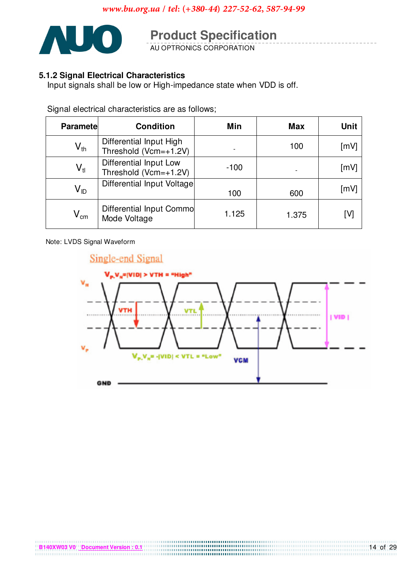

# **Product Specification**

#### 5.1.2 Signal Electrical Characteristics

Input signals shall be low or High-impedance state when VDD is off.

Signal electrical characteristics are as follows;

| <b>Paramete</b>            | <b>Condition</b>                                 | Min    | <b>Max</b> | <b>Unit</b> |
|----------------------------|--------------------------------------------------|--------|------------|-------------|
| $V_{th}$                   | Differential Input High<br>Threshold (Vcm=+1.2V) |        | 100        | [mV]        |
| $V_{tl}$                   | Differential Input Low<br>Threshold (Vcm=+1.2V)  | $-100$ |            | [mV]        |
| V <sub>ID</sub>            | Differential Input Voltage                       | 100    | 600        | [mV]        |
| $\mathsf{V}_{\mathsf{cm}}$ | Differential Input Commo<br>Mode Voltage         | 1.125  | 1.375      | ГVІ         |

Note: LVDS Signal Waveform

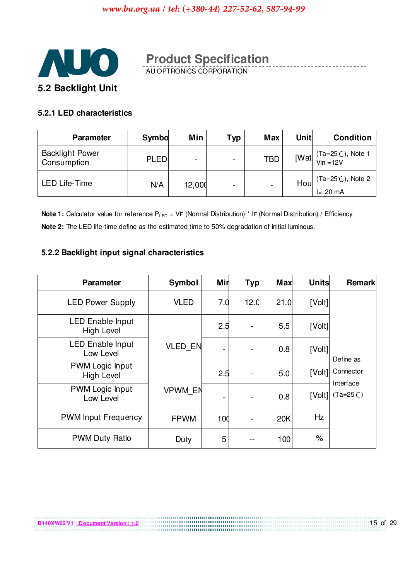

# **Product Specification**<br>AU OPTRONICS CORPORATION

#### 5.2.1 LED characteristics

B140XW02 V1 Document Version : 1.0

| <b>Parameter</b>                      | Symbo       | Min                      | Typ                      | <b>Max</b>               | <b>Unit:</b> | <b>Condition</b>                                                                       |
|---------------------------------------|-------------|--------------------------|--------------------------|--------------------------|--------------|----------------------------------------------------------------------------------------|
| <b>Backlight Power</b><br>Consumption | <b>PLED</b> | $\overline{\phantom{0}}$ | ۰                        | <b>TBD</b>               |              | [Wat $\int \frac{(\text{Ta} = 25^{\circ} \text{C})}{\text{V} \cdot \text{n}}$ , Note 1 |
| <b>LED Life-Time</b>                  | N/A         | 12,000                   | $\overline{\phantom{0}}$ | $\overline{\phantom{a}}$ | Hou          | $(Ta=25^{\circ}C)$ , Note 2<br>$I_F=20$ mA                                             |

**Note 1:** Calculator value for reference  $P_{LED} = VF$  (Normal Distribution) \* IF (Normal Distribution) / Efficiency Note 2: The LED life-time define as the estimated time to 50% degradation of initial luminous.

#### 5.2.2 Backlight input signal characteristics

| <b>Parameter</b>                             | Symbol         | Mir | <b>Typ</b> | <b>Max</b> | <b>Units</b> | <b>Remark</b>          |
|----------------------------------------------|----------------|-----|------------|------------|--------------|------------------------|
| <b>LED Power Supply</b>                      | <b>VLED</b>    | 7.0 | 12.0       | 21.0       | [Volt]       |                        |
| <b>LED Enable Input</b><br><b>High Level</b> |                | 2.5 | ۰          | 5.5        | [Volt]       |                        |
| <b>LED Enable Input</b><br>Low Level         | <b>VLED EN</b> |     |            | 0.8        | [Volt]       | Define as              |
| PWM Logic Input<br><b>High Level</b>         |                | 2.5 |            | 5.0        | [Volt]       | Connector<br>Interface |
| PWM Logic Input<br>Low Level                 | <b>VPWM EN</b> |     |            | 0.8        | [Volt]       | $(Ta=25^{\circ}C)$     |
| <b>PWM Input Frequency</b>                   | <b>FPWM</b>    | 100 |            | 20K        | Hz           |                        |
| <b>PWM Duty Ratio</b>                        | Duty           | 5   | --         | 100        | $\%$         |                        |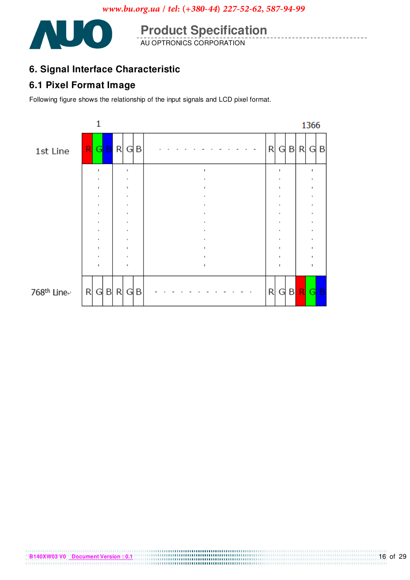

**Product Specification**<br>AU OPTRONICS CORPORATION

## 6. Signal Interface Characteristic

### **6.1 Pixel Format Image**

Following figure shows the relationship of the input signals and LCD pixel format.

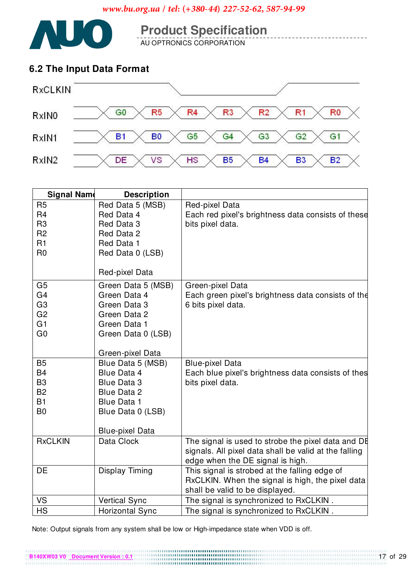

**Product Specification**<br>AU OPTRONICS CORPORATION

### 6.2 The Input Data Format



| <b>Signal Name</b> | <b>Description</b>     |                                                                                   |
|--------------------|------------------------|-----------------------------------------------------------------------------------|
| R <sub>5</sub>     | Red Data 5 (MSB)       | Red-pixel Data                                                                    |
| R <sub>4</sub>     | Red Data 4             | Each red pixel's brightness data consists of these                                |
| R <sub>3</sub>     | Red Data 3             | bits pixel data.                                                                  |
| R <sub>2</sub>     | Red Data 2             |                                                                                   |
| R <sub>1</sub>     | Red Data 1             |                                                                                   |
| R <sub>0</sub>     | Red Data 0 (LSB)       |                                                                                   |
|                    | Red-pixel Data         |                                                                                   |
| G <sub>5</sub>     | Green Data 5 (MSB)     | Green-pixel Data                                                                  |
| G <sub>4</sub>     | Green Data 4           | Each green pixel's brightness data consists of the                                |
| G <sub>3</sub>     | Green Data 3           | 6 bits pixel data.                                                                |
| G <sub>2</sub>     | Green Data 2           |                                                                                   |
| G <sub>1</sub>     | Green Data 1           |                                                                                   |
| G <sub>0</sub>     | Green Data 0 (LSB)     |                                                                                   |
|                    | Green-pixel Data       |                                                                                   |
| B <sub>5</sub>     | Blue Data 5 (MSB)      | <b>Blue-pixel Data</b>                                                            |
| <b>B4</b>          | Blue Data 4            | Each blue pixel's brightness data consists of thes                                |
| B <sub>3</sub>     | <b>Blue Data 3</b>     | bits pixel data.                                                                  |
| <b>B2</b>          | <b>Blue Data 2</b>     |                                                                                   |
| B1                 | <b>Blue Data 1</b>     |                                                                                   |
| B <sub>0</sub>     | Blue Data 0 (LSB)      |                                                                                   |
|                    |                        |                                                                                   |
|                    | <b>Blue-pixel Data</b> |                                                                                   |
| <b>RxCLKIN</b>     | Data Clock             | The signal is used to strobe the pixel data and DE                                |
|                    |                        | signals. All pixel data shall be valid at the falling                             |
| DE                 |                        | edge when the DE signal is high.<br>This signal is strobed at the falling edge of |
|                    | Display Timing         | RxCLKIN. When the signal is high, the pixel data                                  |
|                    |                        | shall be valid to be displayed.                                                   |
| VS                 | <b>Vertical Sync</b>   | The signal is synchronized to RxCLKIN.                                            |
| <b>HS</b>          | <b>Horizontal Sync</b> | The signal is synchronized to RxCLKIN.                                            |

Note: Output signals from any system shall be low or High-impedance state when VDD is off.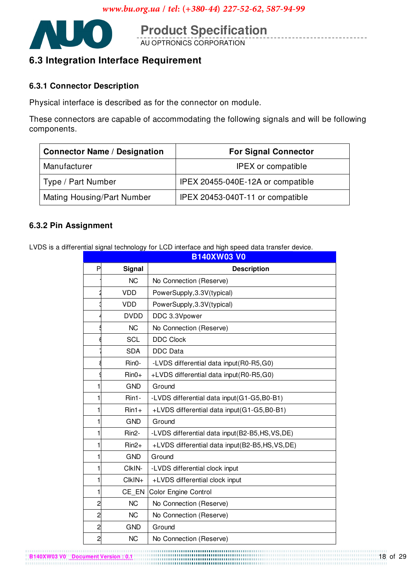

**Product Specification**<br>AU OPTRONICS CORPORATION

## 6.3 Integration Interface Requirement

#### **6.3.1 Connector Description**

Physical interface is described as for the connector on module.

These connectors are capable of accommodating the following signals and will be following components.

| <b>Connector Name / Designation</b> | <b>For Signal Connector</b>       |  |  |
|-------------------------------------|-----------------------------------|--|--|
| Manufacturer                        | <b>IPEX</b> or compatible         |  |  |
| Type / Part Number                  | IPEX 20455-040E-12A or compatible |  |  |
| Mating Housing/Part Number          | IPEX 20453-040T-11 or compatible  |  |  |

#### 6.3.2 Pin Assignment

LVDS is a differential signal technology for LCD interface and high speed data transfer device.

|                         |                    | B140XW03 VO                                     |
|-------------------------|--------------------|-------------------------------------------------|
| P                       | Signal             | <b>Description</b>                              |
|                         | <b>NC</b>          | No Connection (Reserve)                         |
|                         | <b>VDD</b>         | PowerSupply, 3.3V(typical)                      |
|                         | <b>VDD</b>         | PowerSupply, 3.3V(typical)                      |
|                         | <b>DVDD</b>        | DDC 3.3Vpower                                   |
|                         | <b>NC</b>          | No Connection (Reserve)                         |
|                         | <b>SCL</b>         | <b>DDC Clock</b>                                |
|                         | <b>SDA</b>         | <b>DDC</b> Data                                 |
|                         | Rin0-              | -LVDS differential data input(R0-R5,G0)         |
|                         | $Rin0+$            | +LVDS differential data input(R0-R5,G0)         |
| 1                       | <b>GND</b>         | Ground                                          |
| 1                       | Rin1-              | -LVDS differential data input(G1-G5,B0-B1)      |
| 1                       | $Rin1+$            | +LVDS differential data input(G1-G5,B0-B1)      |
| 1                       | <b>GND</b>         | Ground                                          |
| 1                       | Rin <sub>2</sub> - | -LVDS differential data input(B2-B5,HS, VS, DE) |
| 1                       | $Rin2+$            | +LVDS differential data input(B2-B5,HS,VS,DE)   |
| 1                       | <b>GND</b>         | Ground                                          |
| 1                       | CIkIN-             | -LVDS differential clock input                  |
| 1                       | CIkIN+             | +LVDS differential clock input                  |
| 1                       | CE EN              | <b>Color Engine Control</b>                     |
| $\overline{\mathbf{c}}$ | <b>NC</b>          | No Connection (Reserve)                         |
| $\overline{c}$          | <b>NC</b>          | No Connection (Reserve)                         |
| $\overline{c}$          | <b>GND</b>         | Ground                                          |
| $\overline{c}$          | <b>NC</b>          | No Connection (Reserve)                         |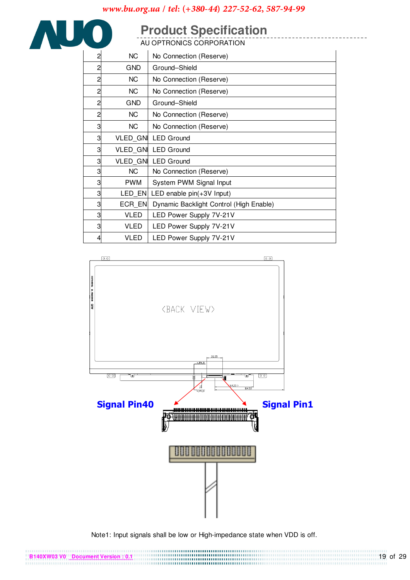# **Product Specification**

AUO

| 2              | <b>NC</b>       | No Connection (Reserve)                 |
|----------------|-----------------|-----------------------------------------|
| 2              | <b>GND</b>      | Ground-Shield                           |
| $\overline{c}$ | NC.             | No Connection (Reserve)                 |
| 2              | NC              | No Connection (Reserve)                 |
| $\overline{c}$ | <b>GND</b>      | Ground-Shield                           |
| $\overline{c}$ | NC              | No Connection (Reserve)                 |
| 3              | <b>NC</b>       | No Connection (Reserve)                 |
| 3              |                 | VLED_GNI LED Ground                     |
| 3              | <b>VLED GNI</b> | <b>LED Ground</b>                       |
| 3              |                 | VLED GNI LED Ground                     |
| 3              | NC              | No Connection (Reserve)                 |
| 3              | <b>PWM</b>      | System PWM Signal Input                 |
| 3              | LED EN          | LED enable $pin(+3V$ Input)             |
| 3              | ECR EN          | Dynamic Backlight Control (High Enable) |
| 3              | <b>VLED</b>     | LED Power Supply 7V-21V                 |
| 3              | VLED            | LED Power Supply 7V-21V                 |
| 4              | VLED            | LED Power Supply 7V-21V                 |



Note1: Input signals shall be low or High-impedance state when VDD is off.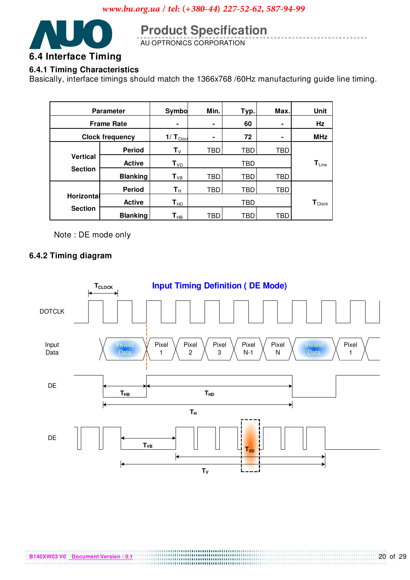

## **Product Specification**

AU OPTRONICS CORPORATION

#### **6.4.1 Timing Characteristics**

Basically, interface timings should match the 1366x768 /60Hz manufacturing guide line timing.

| <b>Parameter</b>                  |                 | Symbo                      | Min. | Typ. | Max.                         | Unit                          |
|-----------------------------------|-----------------|----------------------------|------|------|------------------------------|-------------------------------|
| <b>Frame Rate</b>                 |                 | ۰                          | ۰    | 60   |                              | Hz                            |
| <b>Clock frequency</b>            |                 | $1/ T_{Cloc}$              |      | 72   |                              | <b>MHz</b>                    |
|                                   | <b>Period</b>   | ${\sf T}_\lor$             | TBD  | TBD  | TBD                          |                               |
| <b>Vertical</b><br><b>Section</b> | <b>Active</b>   | $T_{VD}$                   |      | TBD  | $\mathbf{T}_{\mathsf{Line}}$ |                               |
|                                   | <b>Blanking</b> | $T_{VB}$                   | TBD  | TBD  | TBD                          |                               |
|                                   | <b>Period</b>   | $\mathsf{T}_\mathsf{H}$    | TBD  | TBD  | TBD                          |                               |
| Horizontal                        | <b>Active</b>   | $T_{HD}$                   |      | TBD  |                              | $\mathbf{T}_{\mathsf{Clock}}$ |
| <b>Section</b>                    | <b>Blanking</b> | $\mathsf{T}_{\mathsf{HB}}$ | TBD  | TBD  | TBD                          |                               |

Note: DE mode only

#### 6.4.2 Timing diagram

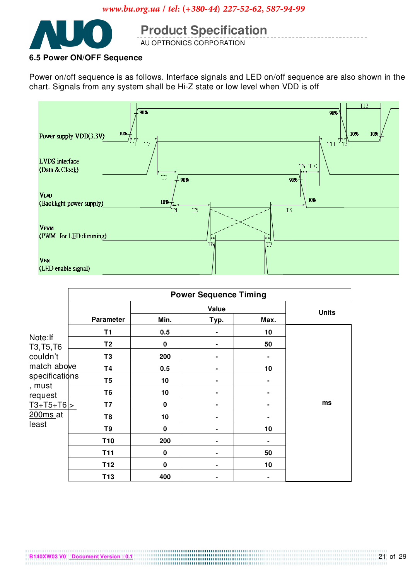

# **Product Specification**

#### 6.5 Power ON/OFF Sequence

Power on/off sequence is as follows. Interface signals and LED on/off sequence are also shown in the chart. Signals from any system shall be Hi-Z state or low level when VDD is off



|                        |                  |              | <b>Power Sequence Timing</b> |              |    |
|------------------------|------------------|--------------|------------------------------|--------------|----|
|                        | Value            |              |                              | <b>Units</b> |    |
|                        | <b>Parameter</b> | Min.         | Typ.                         | Max.         |    |
|                        | Τ1               | 0.5          |                              | 10           |    |
| Note: If<br>T3, T5, T6 | T2               | 0            |                              | 50           |    |
| couldn't               | T3               | 200          |                              |              |    |
| match above            | T4               | 0.5          |                              | 10           |    |
| specifications         | T5               | 10           |                              |              |    |
| , must<br>request      | T6               | 10           |                              |              |    |
| $T3+T5+T6$             | T7               | 0            |                              |              | ms |
| $200ms$ <sub>at</sub>  | T8               | 10           |                              |              |    |
| least                  | T <sub>9</sub>   | $\mathbf{0}$ |                              | 10           |    |
|                        | T <sub>10</sub>  | 200          |                              |              |    |
|                        | <b>T11</b>       | $\mathbf 0$  |                              | 50           |    |
|                        | T <sub>12</sub>  | $\mathbf 0$  |                              | 10           |    |
|                        | T <sub>13</sub>  | 400          |                              |              |    |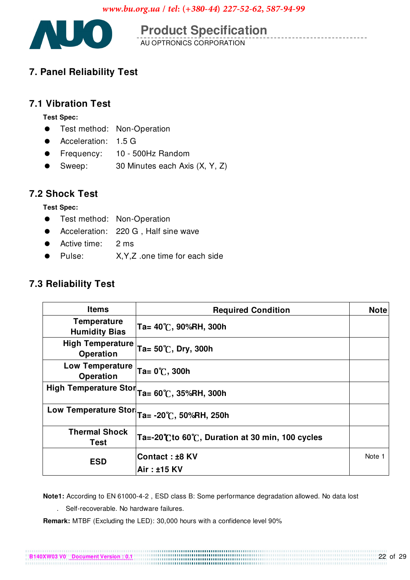

**Product Specification** 

## 7. Panel Reliability Test

### **7.1 Vibration Test**

#### **Test Spec:**

- $\bullet$ Test method: Non-Operation
- Acceleration: 1.5 G
- Frequency: 10 500Hz Random
- Sweep: 30 Minutes each Axis (X, Y, Z)

### **7.2 Shock Test**

#### **Test Spec:**

- Test method: Non-Operation
- Acceleration: 220 G, Half sine wave
- Active time:  $2<sub>ms</sub>$
- Pulse: X.Y.Z .one time for each side

## 7.3 Reliability Test

| <b>Items</b>                               | <b>Required Condition</b>                        | <b>Note</b> |
|--------------------------------------------|--------------------------------------------------|-------------|
| <b>Temperature</b><br><b>Humidity Bias</b> | Ta= 40 C, 90%RH, 300h                            |             |
| <b>High Temperature</b><br>Operation       | Ta= 50 °C, Dry, 300h                             |             |
| <b>Low Temperature</b><br>Operation        | $Ta = 0^{\circ}C$ , 300h                         |             |
| <b>High Temperature Stor</b>               | Ta= 60 C, 35%RH, 300h                            |             |
| <b>Low Temperature Stor</b>                | Ta= -20 C, 50%RH, 250h                           |             |
| <b>Thermal Shock</b><br>Test               | Ta=-20°C to 60°C, Duration at 30 min, 100 cycles |             |
| <b>ESD</b>                                 | Contact: ±8 KV                                   | Note 1      |
|                                            | Air: ±15 KV                                      |             |

Note1: According to EN 61000-4-2, ESD class B: Some performance degradation allowed. No data lost

. Self-recoverable. No hardware failures.

B140XW03 V0 Document Version

Remark: MTBF (Excluding the LED): 30,000 hours with a confidence level 90%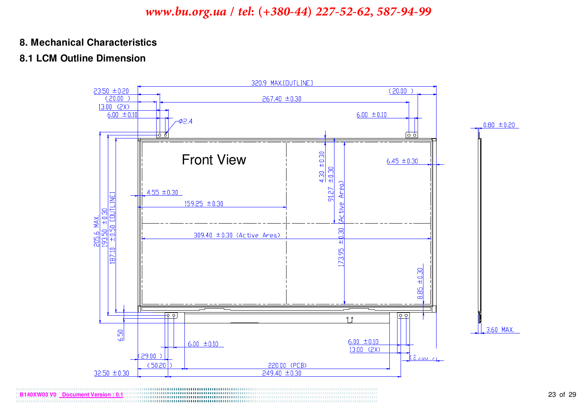#### 8. Mechanical Characteristics

### 8.1 LCM Outline Dimension

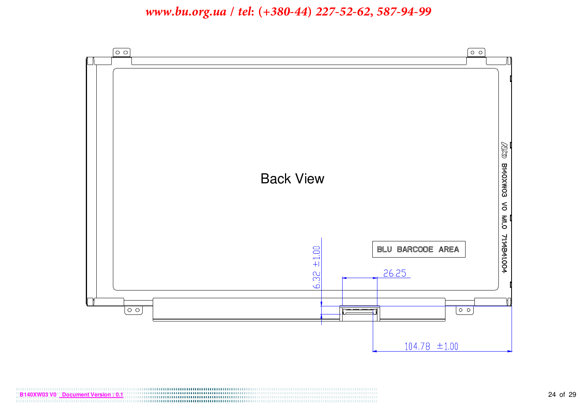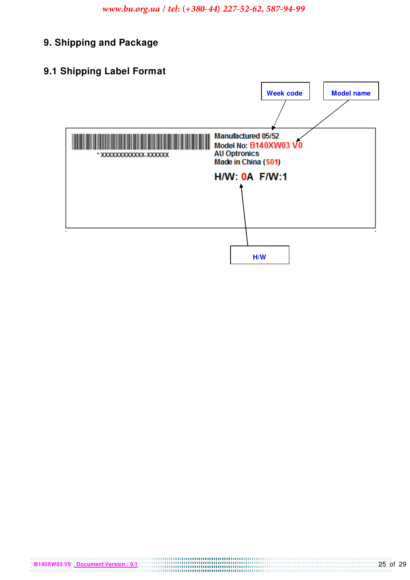- 9. Shipping and Package
- 9.1 Shipping Label Format

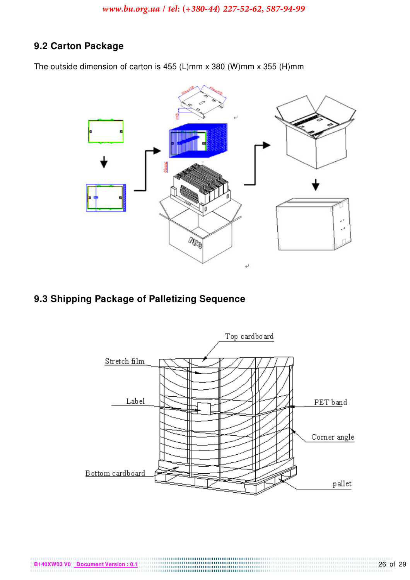## 9.2 Carton Package

The outside dimension of carton is 455 (L)mm x 380 (W)mm x 355 (H)mm



9.3 Shipping Package of Palletizing Sequence

B140XW03 V0 Document Version : 0.1

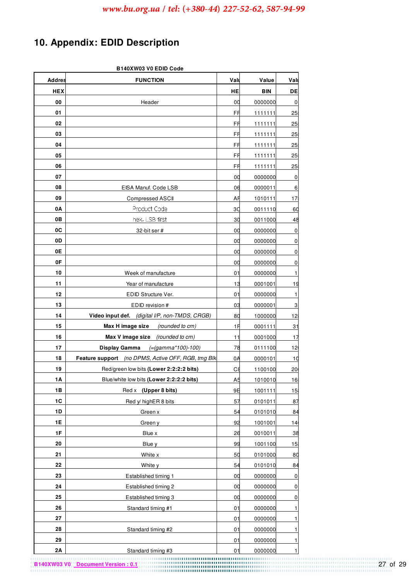## **10. Appendix: EDID Description**

|               | B140XW03 V0 EDID Code                               |                |            |                 |  |  |  |
|---------------|-----------------------------------------------------|----------------|------------|-----------------|--|--|--|
| <b>Addres</b> | <b>FUNCTION</b>                                     | Valu           | Value      | Valu            |  |  |  |
| <b>HEX</b>    |                                                     | HE.            | <b>BIN</b> | DE              |  |  |  |
| 00            | Header                                              | 00             | 0000000    | 0               |  |  |  |
| 01            |                                                     | FF             | 1111111    | 25              |  |  |  |
| 02            |                                                     | FF             | 1111111    | 25              |  |  |  |
| 03            |                                                     | FF             | 1111111    | 25              |  |  |  |
| 04            |                                                     | FF             | 1111111    | 25              |  |  |  |
| 05            |                                                     | FF             | 1111111    | 25              |  |  |  |
| 06            |                                                     | FF             | 1111111    | 25 <sub>5</sub> |  |  |  |
| 07            |                                                     | 00             | 0000000    | 0               |  |  |  |
| 08            | EISA Manuf. Code LSB                                | 06             | 0000011    | 6               |  |  |  |
| 09            | <b>Compressed ASCII</b>                             | AF             | 1010111    | 17              |  |  |  |
| 0A            | Product Code                                        | 3C             | 0011110    | 60              |  |  |  |
| 0В            | hex, LSB first                                      | 30             | 0011000    | 48              |  |  |  |
| 0C            | 32-bit ser #                                        | 00             | 0000000    | 0               |  |  |  |
| 0D            |                                                     | 00             | 0000000    | 0               |  |  |  |
| 0E            |                                                     | 00             | 0000000    | 0               |  |  |  |
| 0F            |                                                     | 00             | 0000000    | 0               |  |  |  |
| 10            | Week of manufacture                                 | 01             | 0000000    | 1               |  |  |  |
| 11            | Year of manufacture                                 | 13             | 0001001    | 19              |  |  |  |
| 12            | EDID Structure Ver.                                 | 01             | 0000000    | 1               |  |  |  |
| 13            | EDID revision #                                     | 03             | 0000001    | 3               |  |  |  |
| 14            | Video input def. (digital I/P, non-TMDS, CRGB)      | 80             | 1000000    | 12i             |  |  |  |
| 15            | Max H image size<br>(rounded to cm)                 | 1F             | 0001111    | 31              |  |  |  |
| 16            | Max V image size (rounded to cm)                    | 11             | 0001000    | 17              |  |  |  |
| 17            | Display Gamma<br>(=(gamma*100)-100)                 | 78             | 0111100    | 12              |  |  |  |
| 18            | Feature support (no DPMS, Active OFF, RGB, tmg Blk, | 0A             | 0000101    | 10              |  |  |  |
| 19            | Red/green low bits (Lower 2:2:2:2 bits)             | $C\epsilon$    | 1100100    | 20              |  |  |  |
| 1A            | Blue/white low bits (Lower 2:2:2:2 bits)            | A <sub>5</sub> | 1010010    | 16              |  |  |  |
| 1B            | Red x (Upper 8 bits)                                | 9E             | 1001111    | 15 <sub>i</sub> |  |  |  |
| 1C            | Red y/ highER 8 bits                                | 57             | 0101011    | 87              |  |  |  |
| 1D            | Green x                                             | 54             | 0101010    | 84              |  |  |  |
| 1E            | Green y                                             | 92             | 1001001    | 14              |  |  |  |
| 1F            | Blue x                                              | 26             | 0010011    | 38              |  |  |  |
| 20            | Blue y                                              | 99             | 1001100    | 15 <sub>1</sub> |  |  |  |
| 21            | White x                                             | 50             | 0101000    | 80              |  |  |  |
| 22            | White y                                             | 54             | 0101010    | 84              |  |  |  |
| 23            | Established timing 1                                | 00             | 0000000    | $\pmb{0}$       |  |  |  |
| 24            | Established timing 2                                | 00             | 0000000    | 0               |  |  |  |
| 25            | Established timing 3                                | 00             | 0000000    | $\pmb{0}$       |  |  |  |
| 26            | Standard timing #1                                  | 01             | 0000000    | 1               |  |  |  |
| 27            |                                                     | 01             | 0000000    | 1               |  |  |  |
| 28            | Standard timing #2                                  | 01             | 0000000    | 1               |  |  |  |
| 29            |                                                     | 01             | 0000000    | $\mathbf{1}$    |  |  |  |
| 2A            | Standard timing #3                                  | 01             | 0000000    | 1               |  |  |  |

**B140XW03 V0 Document Version : 0.1 COVERT 27 of 29 DISCOVER 27 of 29**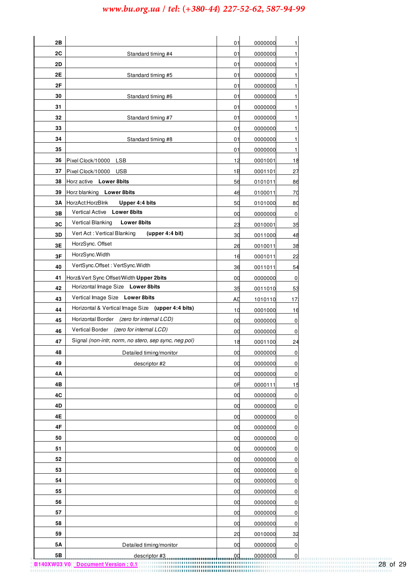| 2Β |                                                                                                |     |         |                 |
|----|------------------------------------------------------------------------------------------------|-----|---------|-----------------|
|    |                                                                                                | 01  | 0000000 | 1               |
| 2C | Standard timing #4                                                                             | 01  | 0000000 | 1               |
| 2D |                                                                                                | 01  | 0000000 | 1               |
| 2Ε | Standard timing #5                                                                             | 01  | 0000000 | 1               |
| 2F |                                                                                                | 01  | 0000000 | 1               |
| 30 | Standard timing #6                                                                             | 01  | 0000000 | 1               |
| 31 |                                                                                                | 01  | 0000000 | 1               |
| 32 | Standard timing #7                                                                             | 01  | 0000000 | 1               |
| 33 |                                                                                                | 01  | 0000000 | 1               |
| 34 | Standard timing #8                                                                             | 01  | 0000000 | 1               |
| 35 |                                                                                                | 01  | 0000000 | 1               |
| 36 | Pixel Clock/10000 LSB                                                                          | 12  | 0001001 | 18              |
| 37 | Pixel Clock/10000 USB                                                                          | 1B  | 0001101 | 27              |
| 38 | Horz active Lower 8bits                                                                        | 56  | 0101011 | 86              |
| 39 | Horz blanking Lower 8bits                                                                      | 46  | 0100011 | 70              |
| ЗA | HorzAct:HorzBlnk<br>Upper 4:4 bits<br><b>Vertical Active</b><br><b>Lower 8bits</b>             | 50  | 0101000 | 80              |
| 3В | <b>Vertical Blanking</b><br><b>Lower 8bits</b>                                                 | 00  | 0000000 | 0               |
| 3C | Vert Act: Vertical Blanking<br>(upper 4:4 bit)                                                 | 23  | 0010001 | 35              |
| 3D | HorzSync. Offset                                                                               | 30  | 0011000 | 48              |
| 3E | HorzSync.Width                                                                                 | 26  | 0010011 | 38              |
| 3F | VertSync.Offset: VertSync.Width                                                                | 16  | 0001011 | 22              |
| 40 |                                                                                                | 36  | 0011011 | 54              |
| 41 | Horz& Vert Sync Offset/Width Upper 2bits                                                       | 00  | 0000000 | 0               |
| 42 | Horizontal Image Size Lower 8bits                                                              | 35  | 0011010 | 53              |
| 43 | Vertical Image Size Lower 8bits                                                                | AГ  | 1010110 | 17 <sub>3</sub> |
| 44 | Horizontal & Vertical Image Size (upper 4:4 bits)<br>Horizontal Border (zero for internal LCD) | 10  | 0001000 | 16              |
| 45 |                                                                                                | 00  | 0000000 | $\mathbf 0$     |
| 46 | Vertical Border (zero for internal LCD)                                                        | 00  | 0000000 | 0               |
| 47 | Signal (non-intr, norm, no stero, sep sync, neg pol)                                           | 18  | 0001100 | <u>24</u>       |
| 48 | Detailed timing/monitor                                                                        | 00  | 0000000 | $\pmb{0}$       |
| 49 | descriptor #2                                                                                  | 00  | 0000000 | 0               |
| 4Α |                                                                                                | 00  | 0000000 | $\pmb{0}$       |
| 4B |                                                                                                | 0F  | 0000111 | 15              |
| 4C |                                                                                                | 00  | 0000000 | $\pmb{0}$       |
| 4D |                                                                                                | 00  | 0000000 | $\overline{0}$  |
| 4Ε |                                                                                                | 00  | 0000000 | 0               |
| 4F |                                                                                                | 00  | 0000000 | 0               |
| 50 |                                                                                                | 00  | 0000000 | $\overline{0}$  |
| 51 |                                                                                                | 00  | 0000000 | $\pmb{0}$       |
| 52 |                                                                                                | 00  | 0000000 | $\pmb{0}$       |
| 53 |                                                                                                | 00  | 0000000 | $\overline{0}$  |
| 54 |                                                                                                | 00  | 0000000 | $\pmb{0}$       |
| 55 |                                                                                                | 00  | 0000000 | 0               |
| 56 |                                                                                                | 00  | 0000000 | 0               |
| 57 |                                                                                                | 00  | 0000000 | $\overline{0}$  |
| 58 |                                                                                                | 00  | 0000000 | $\pmb{0}$       |
| 59 |                                                                                                | 20  | 0010000 | 32              |
| 5Α | Detailed timing/monitor                                                                        | 00  | 0000000 | $\pmb{0}$       |
| 5B | descriptor #3                                                                                  | .00 | 0000000 | $\mathbf 0$     |